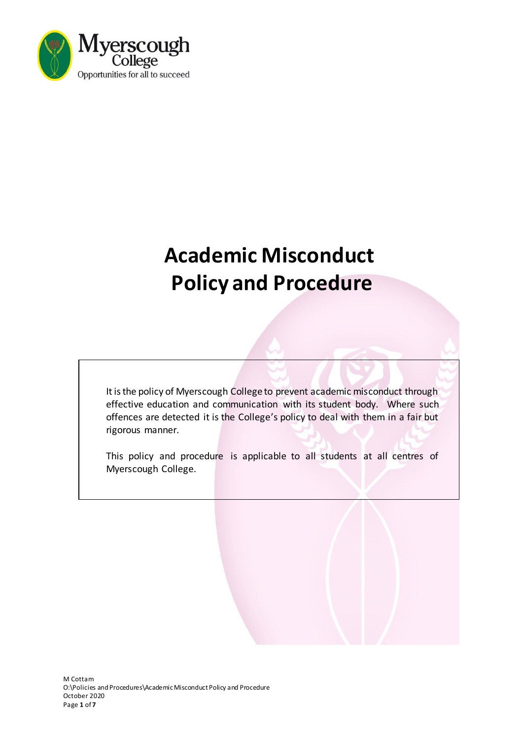

# **Academic Misconduct Policy and Procedure**

It is the policy of Myerscough College to prevent academic misconduct through effective education and communication with its student body. Where such offences are detected it is the College's policy to deal with them in a fair but rigorous manner.

This policy and procedure is applicable to all students at all centres of Myerscough College.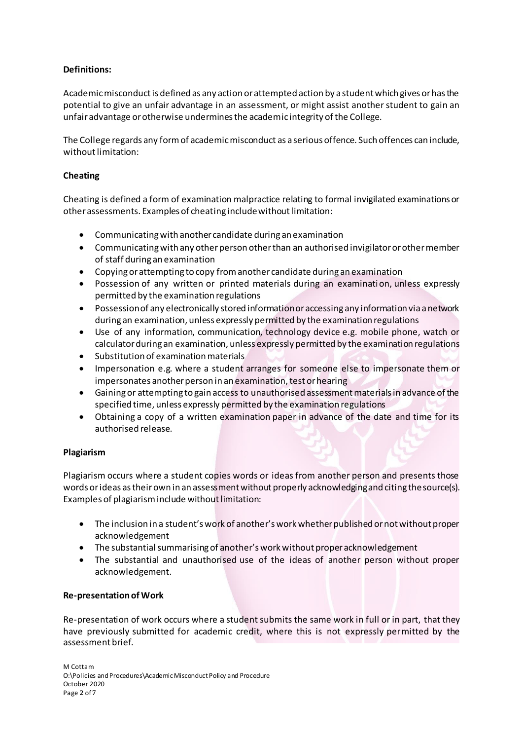### **Definitions:**

Academic misconduct is defined as any action or attempted action by a student which gives or has the potential to give an unfair advantage in an assessment, or might assist another student to gain an unfair advantage or otherwise undermines the academic integrity of the College.

The College regards any form of academic misconduct as a serious offence. Such offences can include, without limitation:

#### **Cheating**

Cheating is defined a form of examination malpractice relating to formal invigilated examinations or other assessments. Examples of cheating include without limitation:

- Communicating with another candidate during an examination
- Communicating with any other person other than an authorised invigilator or other member of staff during an examination
- Copying or attempting to copy from another candidate during an examination
- Possession of any written or printed materials during an examination, unless expressly permitted by the examination regulations
- Possession of any electronically stored information or accessing any information via a network during an examination, unless expressly permitted by the examination regulations
- Use of any information, communication, technology device e.g. mobile phone, watch or calculator during an examination, unless expressly permitted by the examination regulations
- Substitution of examination materials
- Impersonation e.g. where a student arranges for someone else to impersonate them or impersonates another person in an examination, test or hearing
- Gaining or attempting to gain access to unauthorised assessment materials in advance of the specified time, unless expressly permitted by the examination regulations
- Obtaining a copy of a written examination paper in advance of the date and time for its authorised release.

#### **Plagiarism**

Plagiarism occurs where a student copies words or ideas from another person and presents those words or ideas as their own in an assessment without properly acknowledging and citing the source(s). Examples of plagiarism include without limitation:

- The inclusion in a student's work of another's work whether published or not without proper acknowledgement
- The substantial summarising of another's work without proper acknowledgement
- The substantial and unauthorised use of the ideas of another person without proper acknowledgement.

#### **Re-presentation of Work**

Re-presentation of work occurs where a student submits the same work in full or in part, that they have previously submitted for academic credit, where this is not expressly permitted by the assessment brief.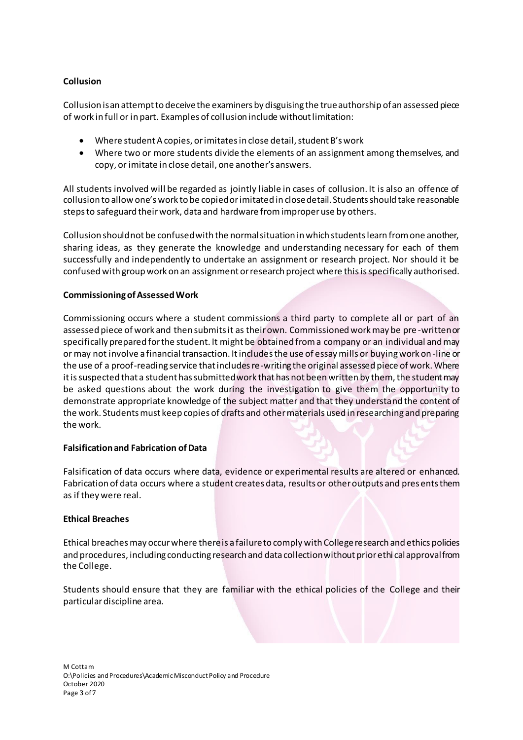#### **Collusion**

Collusion is an attempt to deceive the examiners by disguising the true authorship of an assessed piece of work in full or in part. Examples of collusion include without limitation:

- Where student A copies, or imitates in close detail, student B's work
- Where two or more students divide the elements of an assignment among themselves, and copy, or imitate in close detail, one another's answers.

All students involved will be regarded as jointly liable in cases of collusion. It is also an offence of collusion to allow one's work to be copied or imitated in close detail. Students should take reasonable steps to safeguard their work, data and hardware from improper use by others.

Collusion should not be confused with the normal situation in which students learn from one another, sharing ideas, as they generate the knowledge and understanding necessary for each of them successfully and independently to undertake an assignment or research project. Nor should it be confused with group work on an assignment or research project where this is specifically authorised.

#### **Commissioning of Assessed Work**

Commissioning occurs where a student commissions a third party to complete all or part of an assessed piece of work and then submits it as their own. Commissioned work may be pre -written or specifically prepared for the student. It might be obtained from a company or an individual and may or may not involve a financial transaction. It includes the use of essay mills or buying work on-line or the use of a proof-reading service that includes re-writing the original assessed piece of work. Where it is suspected that a student has submitted work that has not been written by them, the student may be asked questions about the work during the investigation to give them the opportunity to demonstrate appropriate knowledge of the subject matter and that they understand the content of the work. Students must keep copies of drafts and other materials used in researching and preparing the work.

#### **Falsification and Fabrication of Data**

Falsification of data occurs where data, evidence or experimental results are altered or enhanced. Fabrication of data occurs where a student creates data, results or other outputs and presents them as if they were real.

#### **Ethical Breaches**

Ethical breaches may occur where there is a failure to comply with College research and ethics policies and procedures, including conducting research and data collection without prior ethi cal approval from the College.

Students should ensure that they are familiar with the ethical policies of the College and their particular discipline area.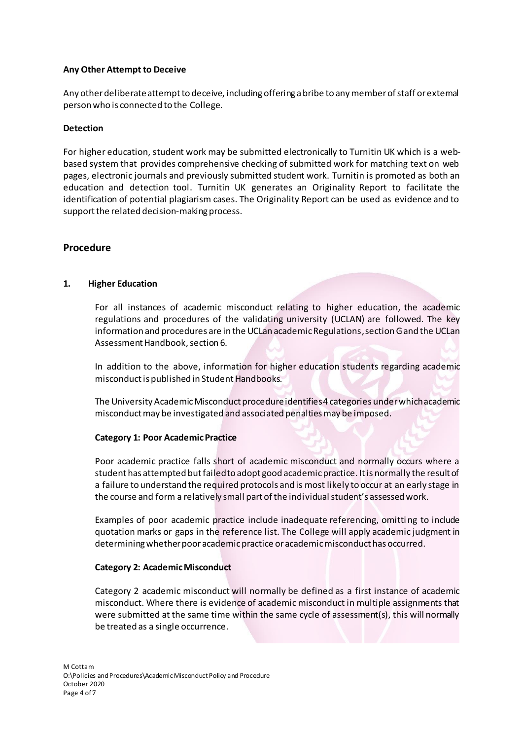#### **Any Other Attempt to Deceive**

Any other deliberate attempt to deceive, including offering a bribe to any member of staff or external person who is connected to the College.

#### **Detection**

For higher education, student work may be submitted electronically to Turnitin UK which is a webbased system that provides comprehensive checking of submitted work for matching text on web pages, electronic journals and previously submitted student work. Turnitin is promoted as both an education and detection tool. Turnitin UK generates an Originality Report to facilitate the identification of potential plagiarism cases. The Originality Report can be used as evidence and to support the related decision-making process.

### **Procedure**

#### **1. Higher Education**

For all instances of academic misconduct relating to higher education, the academic regulations and procedures of the validating university (UCLAN) are followed. The key information and procedures are in the UCLan academic Regulations,section G and the UCLan Assessment Handbook, section 6.

In addition to the above, information for higher education students regarding academic misconductis published in Student Handbooks.

The University Academic Misconduct procedure identifies 4 categories under which academic misconduct may be investigated and associated penalties may be imposed.

#### **Category 1: Poor Academic Practice**

Poor academic practice falls short of academic misconduct and normally occurs where a student has attempted but failed to adopt good academic practice. It is normally the result of a failure to understand the required protocols and is most likely to occur at an early stage in the course and form a relatively small part of the individual student's assessed work.

Examples of poor academic practice include inadequate referencing, omitting to include quotation marks or gaps in the reference list. The College will apply academic judgment in determining whether poor academic practice or academic misconduct has occurred.

#### **Category 2: Academic Misconduct**

Category 2 academic misconduct will normally be defined as a first instance of academic misconduct. Where there is evidence of academic misconduct in multiple assignments that were submitted at the same time within the same cycle of assessment(s), this will normally be treated as a single occurrence.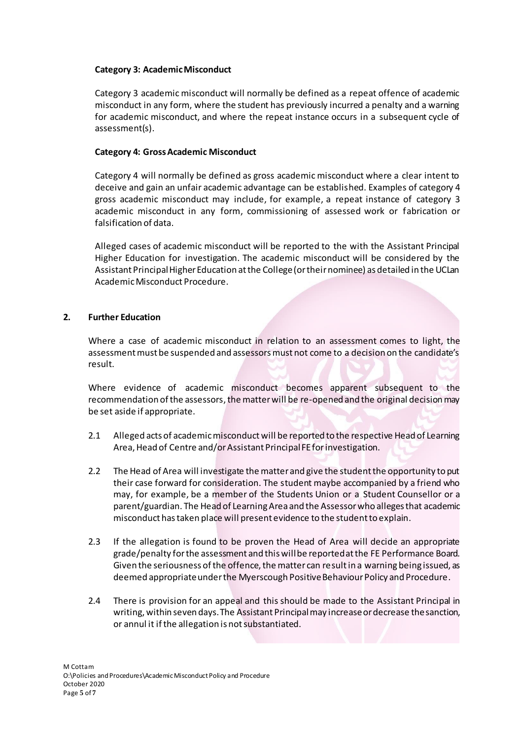#### **Category 3: Academic Misconduct**

Category 3 academic misconduct will normally be defined as a repeat offence of academic misconduct in any form, where the student has previously incurred a penalty and a warning for academic misconduct, and where the repeat instance occurs in a subsequent cycle of assessment(s).

#### **Category 4: Gross Academic Misconduct**

Category 4 will normally be defined as gross academic misconduct where a clear intent to deceive and gain an unfair academic advantage can be established. Examples of category 4 gross academic misconduct may include, for example, a repeat instance of category 3 academic misconduct in any form, commissioning of assessed work or fabrication or falsification of data.

Alleged cases of academic misconduct will be reported to the with the Assistant Principal Higher Education for investigation. The academic misconduct will be considered by the Assistant Principal Higher Education at the College (or their nominee) as detailed in the UCLan Academic Misconduct Procedure.

#### **2. Further Education**

Where a case of academic misconduct in relation to an assessment comes to light, the assessment must be suspended and assessors must not come to a decision on the candidate's result.

Where evidence of academic misconduct becomes apparent subsequent to the recommendation of the assessors, the matter will be re-opened and the original decision may be set aside if appropriate.

- 2.1 Alleged acts of academic misconduct will be reported to the respective Head of Learning Area, Head of Centre and/or Assistant Principal FE for investigation.
- 2.2 The Head of Area will investigate the matter and give the student the opportunity to put their case forward for consideration. The student maybe accompanied by a friend who may, for example, be a member of the Students Union or a Student Counsellor or a parent/guardian. The Head of Learning Area and the Assessor who alleges that academic misconduct has taken place will present evidence to the student to explain.
- 2.3 If the allegation is found to be proven the Head of Area will decide an appropriate grade/penalty for the assessment and this will be reported at the FE Performance Board. Given the seriousness of the offence, the matter can result in a warning being issued, as deemed appropriate under the Myerscough Positive Behaviour Policy and Procedure.
- 2.4 There is provision for an appeal and this should be made to the Assistant Principal in writing, within seven days. The Assistant Principalmay increase or decrease the sanction, or annul it if the allegation is not substantiated.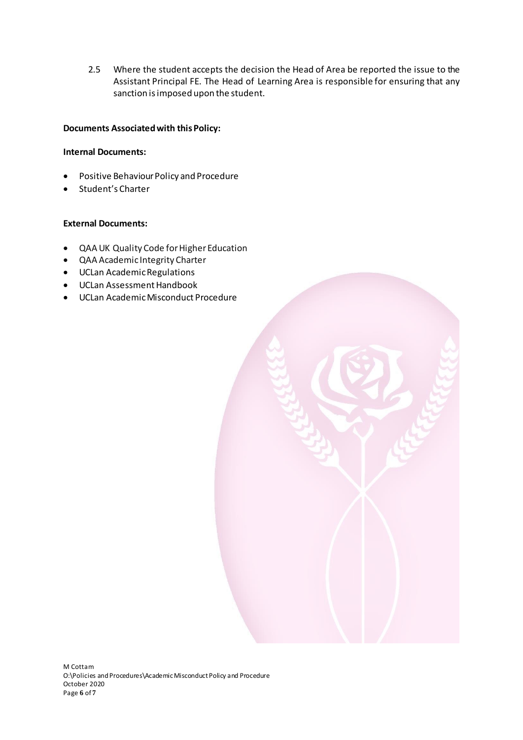2.5 Where the student accepts the decision the Head of Area be reported the issue to the Assistant Principal FE. The Head of Learning Area is responsible for ensuring that any sanction is imposed upon the student.

#### **Documents Associated with this Policy:**

#### **Internal Documents:**

- Positive Behaviour Policy and Procedure
- Student's Charter

#### **External Documents:**

- QAA UK Quality Code for Higher Education
- QAA Academic Integrity Charter
- UCLan Academic Regulations
- UCLan Assessment Handbook
- UCLan Academic Misconduct Procedure